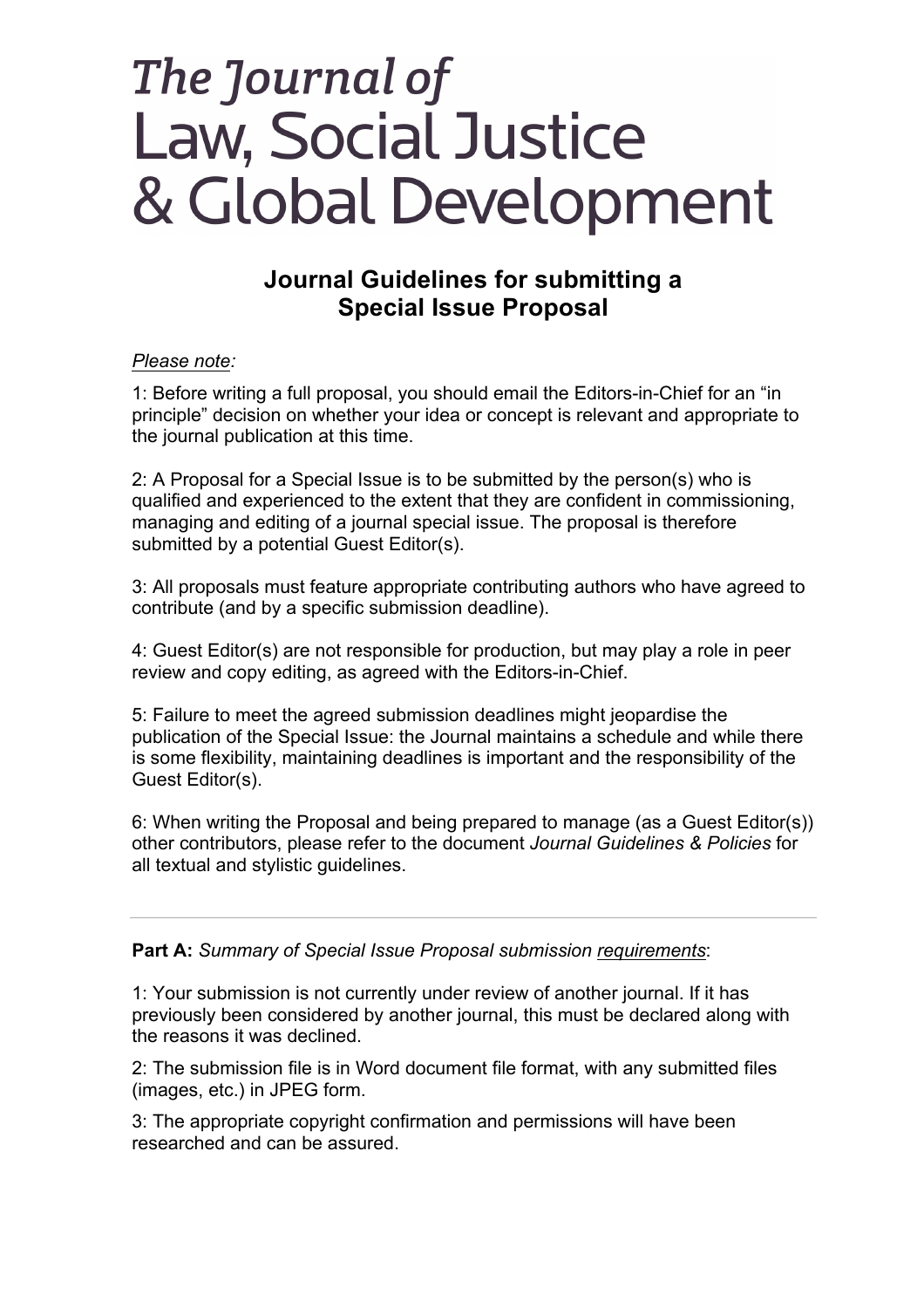## The Journal of Law, Social Justice & Global Development

## **Journal Guidelines for submitting a Special Issue Proposal**

## *Please note:*

1: Before writing a full proposal, you should email the Editors-in-Chief for an "in principle" decision on whether your idea or concept is relevant and appropriate to the journal publication at this time.

2: A Proposal for a Special Issue is to be submitted by the person(s) who is qualified and experienced to the extent that they are confident in commissioning, managing and editing of a journal special issue. The proposal is therefore submitted by a potential Guest Editor(s).

3: All proposals must feature appropriate contributing authors who have agreed to contribute (and by a specific submission deadline).

4: Guest Editor(s) are not responsible for production, but may play a role in peer review and copy editing, as agreed with the Editors-in-Chief.

5: Failure to meet the agreed submission deadlines might jeopardise the publication of the Special Issue: the Journal maintains a schedule and while there is some flexibility, maintaining deadlines is important and the responsibility of the Guest Editor(s).

6: When writing the Proposal and being prepared to manage (as a Guest Editor(s)) other contributors, please refer to the document *Journal Guidelines & Policies* for all textual and stylistic guidelines.

**Part A:** *Summary of Special Issue Proposal submission requirements*:

1: Your submission is not currently under review of another journal. If it has previously been considered by another journal, this must be declared along with the reasons it was declined.

2: The submission file is in Word document file format, with any submitted files (images, etc.) in JPEG form.

3: The appropriate copyright confirmation and permissions will have been researched and can be assured.